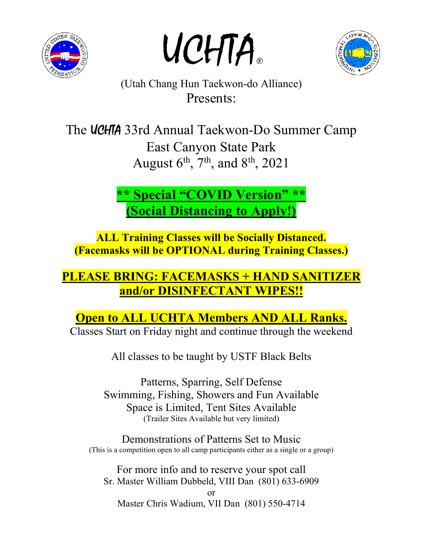

UCHTA.



(Utah Chang Hun Taekwon-do Alliance) Presents:

The **UCHTA** 33rd Annual Taekwon-Do Summer Camp East Canyon State Park August  $6^{\text{th}}$ ,  $7^{\text{th}}$ , and  $8^{\text{th}}$ , 2021

> **\*\* Special "COVID Version" \*\* (Social Distancing to Apply!)**

**ALL Training Classes will be Socially Distanced. (Facemasks will be OPTIONAL during Training Classes.)**

# **PLEASE BRING: FACEMASKS + HAND SANITIZER and/or DISINFECTANT WIPES!!**

**Open to ALL UCHTA Members AND ALL Ranks.**

Classes Start on Friday night and continue through the weekend

All classes to be taught by USTF Black Belts

Patterns, Sparring, Self Defense Swimming, Fishing, Showers and Fun Available Space is Limited, Tent Sites Available (Trailer Sites Available but very limited)

Demonstrations of Patterns Set to Music (This is a competition open to all camp participants either as a single or a group)

For more info and to reserve your spot call Sr. Master William Dubbeld, VIII Dan (801) 633-6909

or Master Chris Wadium, VII Dan (801) 550-4714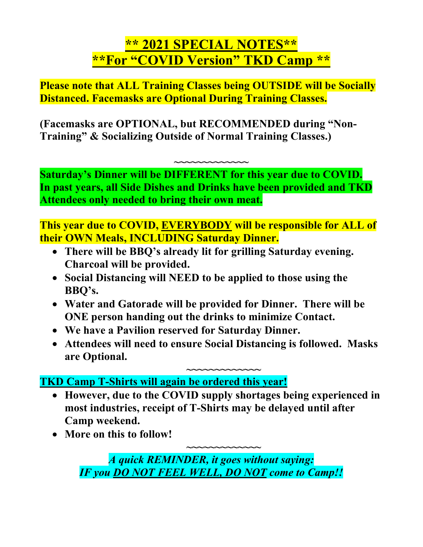# **\*\* 2021 SPECIAL NOTES\*\* \*\*For "COVID Version" TKD Camp \*\***

**Please note that ALL Training Classes being OUTSIDE will be Socially Distanced. Facemasks are Optional During Training Classes.**

**(Facemasks are OPTIONAL, but RECOMMENDED during "Non-Training" & Socializing Outside of Normal Training Classes.)**

**Saturday's Dinner will be DIFFERENT for this year due to COVID. In past years, all Side Dishes and Drinks have been provided and TKD Attendees only needed to bring their own meat.**

**~~~~~~~~~~~~~**

**This year due to COVID, EVERYBODY will be responsible for ALL of their OWN Meals, INCLUDING Saturday Dinner.**

- **There will be BBQ's already lit for grilling Saturday evening. Charcoal will be provided.**
- **Social Distancing will NEED to be applied to those using the BBQ's.**
- **Water and Gatorade will be provided for Dinner. There will be ONE person handing out the drinks to minimize Contact.**
- **We have a Pavilion reserved for Saturday Dinner.**
- **Attendees will need to ensure Social Distancing is followed. Masks are Optional.**

**~~~~~~~~~~~~~ TKD Camp T-Shirts will again be ordered this year!**

 **However, due to the COVID supply shortages being experienced in most industries, receipt of T-Shirts may be delayed until after Camp weekend.**

**~~~~~~~~~~~~~**

**More on this to follow!**

*A quick REMINDER, it goes without saying: IF you DO NOT FEEL WELL, DO NOT come to Camp!!*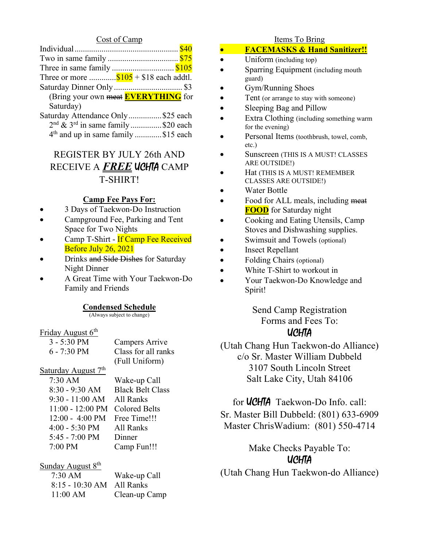#### Cost of Camp

| Three in same family \$105                 |  |
|--------------------------------------------|--|
| Three or more $$105 + $18$ each addtl.     |  |
|                                            |  |
| (Bring your own meat <b>EVERYTHING</b> for |  |
| Saturday)                                  |  |
| Saturday Attendance Only\$25 each          |  |
| $2nd$ & $3rd$ in same family \$20 each     |  |

4<sup>th</sup> and up in same family .............\$15 each

### REGISTER BY JULY 26th AND RECEIVE A *FREE* UCHTA CAMP T-SHIRT!

#### **Camp Fee Pays For:**

- 3 Days of Taekwon-Do Instruction
- Campground Fee, Parking and Tent Space for Two Nights
- Camp T-Shirt If Camp Fee Received Before July 26, 2021
- Drinks and Side Dishes for Saturday Night Dinner
- A Great Time with Your Taekwon-Do Family and Friends

#### **Condensed Schedule**

(Always subject to change)

#### Friday August 6<sup>th</sup>

| Campers Arrive      |
|---------------------|
| Class for all ranks |
| (Full Uniform)      |
|                     |

#### Saturday August  $7<sup>th</sup>$

| $7:30$ AM                      | Wake-up Call            |
|--------------------------------|-------------------------|
| $8:30 - 9:30$ AM               | <b>Black Belt Class</b> |
| $9:30 - 11:00$ AM              | All Ranks               |
| 11:00 - 12:00 PM Colored Belts |                         |
| $12:00 - 4:00 \text{ PM}$      | Free Time!!!            |
| $4:00 - 5:30$ PM               | All Ranks               |
| 5:45 - 7:00 PM                 | Dinner                  |
| 7:00 PM                        | Camp Fun!!!             |
|                                |                         |

Wake-up Call Colored Belts Free Time!!! All Ranks Dinner

#### Sunday August  $8<sup>th</sup>$

| $7:30 \text{ AM}$         | Wake-up    |
|---------------------------|------------|
| 8:15 - 10:30 AM All Ranks |            |
| 11:00 AM                  | $Clean-up$ |

up Call up Camp

#### Items To Bring

- **FACEMASKS & Hand Sanitizer!!**
- Uniform (including top)
- Sparring Equipment (including mouth guard)
- Gym/Running Shoes
- Tent (or arrange to stay with someone)
- Sleeping Bag and Pillow
- Extra Clothing (including something warm for the evening)
- Personal Items (toothbrush, towel, comb, etc.)
- Sunscreen (THIS IS A MUST! CLASSES ARE OUTSIDE!)
- Hat (THIS IS A MUST! REMEMBER CLASSES ARE OUTSIDE!)
- Water Bottle
- Food for ALL meals, including meat **FOOD** for Saturday night
- Cooking and Eating Utensils, Camp Stoves and Dishwashing supplies.
- Swimsuit and Towels (optional)
- Insect Repellant
- Folding Chairs (optional)
- White T-Shirt to workout in
- Your Taekwon-Do Knowledge and Spirit!

Send Camp Registration Forms and Fees To: **UCHTA** 

(Utah Chang Hun Taekwon-do Alliance) c/o Sr. Master William Dubbeld 3107 South Lincoln Street Salt Lake City, Utah 84106

### for **UCHTA** Taekwon-Do Info. call: Sr. Master Bill Dubbeld: (801) 633-6909 Master ChrisWadium: (801) 550-4714

Make Checks Payable To: UCHTA

(Utah Chang Hun Taekwon-do Alliance)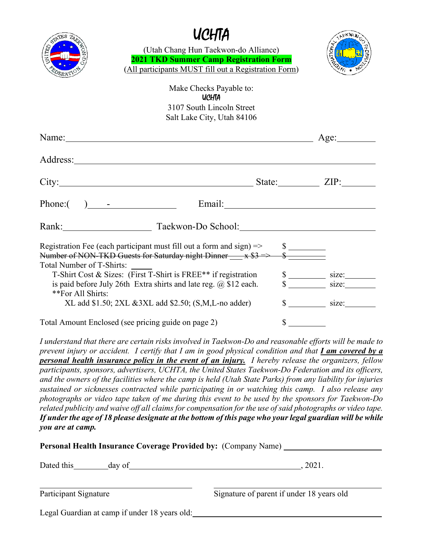|                           | UCHTA<br>(Utah Chang Hun Taekwon-do Alliance)<br><b>2021 TKD Summer Camp Registration Form</b><br>(All participants MUST fill out a Registration Form) |             |                                           |
|---------------------------|--------------------------------------------------------------------------------------------------------------------------------------------------------|-------------|-------------------------------------------|
|                           | Make Checks Payable to:<br><b>UCHTA</b>                                                                                                                |             |                                           |
|                           | 3107 South Lincoln Street<br>Salt Lake City, Utah 84106                                                                                                |             |                                           |
|                           | Name: Age: Age:                                                                                                                                        |             |                                           |
|                           |                                                                                                                                                        |             |                                           |
|                           |                                                                                                                                                        |             |                                           |
|                           | Phone: $\begin{pmatrix} 1 & 1 \\ 1 & 1 \end{pmatrix}$                                                                                                  |             |                                           |
|                           | Rank: Taekwon-Do School: Taekwon-Do School:                                                                                                            |             |                                           |
| Total Number of T-Shirts: | Number of NON-TKD Guests for Saturday night Dinner $\frac{\$}{\$}$ $\frac{\$}{\$}$ Total Number of T Shinter                                           |             |                                           |
|                           | T-Shirt Cost & Sizes: (First T-Shirt is FREE** if registration                                                                                         |             | $\frac{\$}{\$}$ size: $\frac{\$ize:}{\$}$ |
| **For All Shirts:         | is paid before July 26th Extra shirts and late reg. $(0, 12)$ each.                                                                                    |             |                                           |
|                           | $XL$ add \$1.50; $2XL$ &3XL add \$2.50; $(S,M,L$ -no adder)                                                                                            |             | $\frac{\text{S}}{\text{S}}$ size:         |
|                           | Total Amount Enclosed (see pricing guide on page 2)                                                                                                    | $\mathbb S$ |                                           |

*I understand that there are certain risks involved in Taekwon-Do and reasonable efforts will be made to prevent injury or accident. I certify that I am in good physical condition and that I am covered by a personal health insurance policy in the event of an injury. I hereby release the organizers, fellow participants, sponsors, advertisers, UCHTA, the United States Taekwon-Do Federation and its officers, and the owners of the facilities where the camp is held (Utah State Parks) from any liability for injuries sustained or sicknesses contracted while participating in or watching this camp. I also release any photographs or video tape taken of me during this event to be used by the sponsors for Taekwon-Do related publicity and waive off all claims for compensation for the use of said photographs or video tape. If under the age of 18 please designate at the bottom of this page who your legal guardian will be while you are at camp.*

| <b>Personal Health Insurance Coverage Provided by: (Company Name)</b> |                                           |  |  |
|-----------------------------------------------------------------------|-------------------------------------------|--|--|
| Dated this<br>day of                                                  | .2021.                                    |  |  |
| Participant Signature                                                 | Signature of parent if under 18 years old |  |  |
| Legal Guardian at camp if under 18 years old:                         |                                           |  |  |